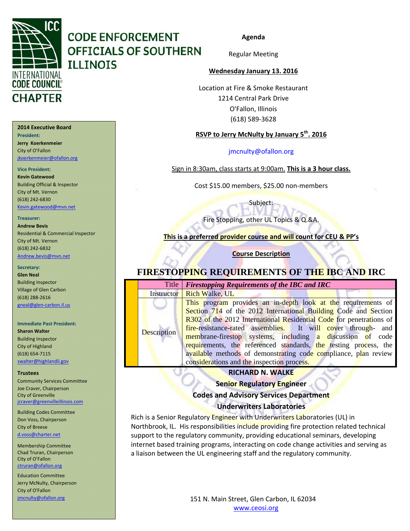

#### **2014 Executive Board**

**President: Jerry Koerkenmeier** City of O'Fallon jkoerkenmeier@ofallon.org

#### **Vice President:**

**Kevin Gatewood** Building Official & Inspector City of Mt. Vernon (618) 242‐6830 Kevin.gatewood@mvn.net

#### **Treasurer:**

**Andrew Bevis** Residential & Commercial Inspector City of Mt. Vernon (618) 242‐6832 Andrew.bevis@mvn.net

#### **Secretary:**

**Glen Neal** Building Inspector Village of Glen Carbon (618) 288‐2616 gneal@glen‐carbon.il.us

#### **Immediate Past President:**

**Sharon Walter** Building Inspector City of Highland (618) 654‐7115 swalter@highlandil.gov

#### **Trustees**

Community Services Committee Joe Craver, Chairperson City of Greenville jcraver@greenvilleillinois.com

#### Building Codes Committee Don Voss, Chairperson City of Breese d.voss@charter.net

Membership Committee Chad Truran, Chairperson City of O'Fallon ctruran@ofallon.org

Education Committee Jerry McNulty, Chairperson City of O'Fallon jmcnulty@ofallon.org

**Agenda**

Regular Meeting

#### **Wednesday January 13. 2016**

Location at Fire & Smoke Restaurant 1214 Central Park Drive O'Fallon, Illinois (618) 589‐3628

### **RSVP to Jerry McNulty by January 5th. 2016**

#### jmcnulty@ofallon.org

Sign in 8:30am, class starts at 9:00am. **This is a 3 hour class.**

Cost \$15.00 members, \$25.00 non‐members

Subject:

Fire Stopping, other UL Topics & Q.&A.

**This is a preferred provider course and will count for CEU & PP's**

**Course Description**

### **FIRESTOPPING REQUIREMENTS OF THE IBC AND IRC**

|                    | Title   Firestopping Requirements of the IBC and IRC                |  |  |  |  |  |
|--------------------|---------------------------------------------------------------------|--|--|--|--|--|
|                    | <b>Instructor</b> Rich Walke, UL                                    |  |  |  |  |  |
|                    | This program provides an in-depth look at the requirements of       |  |  |  |  |  |
| <b>Description</b> | Section 714 of the 2012 International Building Code and Section     |  |  |  |  |  |
|                    | R302 of the 2012 International Residential Code for penetrations of |  |  |  |  |  |
|                    | fire-resistance-rated assemblies. It will cover through- and        |  |  |  |  |  |
|                    | membrane-firestop systems, including a discussion of code           |  |  |  |  |  |
|                    | requirements, the referenced standards, the testing process, the    |  |  |  |  |  |
|                    | available methods of demonstrating code compliance, plan review     |  |  |  |  |  |
|                    | considerations and the inspection process.                          |  |  |  |  |  |

#### **RICHARD N. WALKE**

**Senior Regulatory Engineer Codes and Advisory Services Department Underwriters Laboratories**

Rich is a Senior Regulatory Engineer with Underwriters Laboratories (UL) in Northbrook, IL. His responsibilities include providing fire protection related technical support to the regulatory community, providing educational seminars, developing internet based training programs, interacting on code change activities and serving as a liaison between the UL engineering staff and the regulatory community.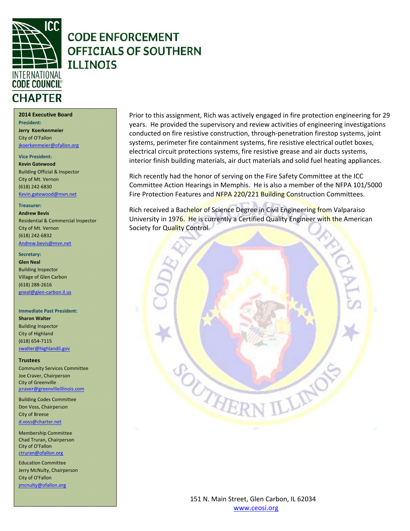

**2014 Executive Board**

**President: Jerry Koerkenmeier** City of O'Fallon jkoerkenmeier@ofallon.org

### **Vice President:**

**Kevin Gatewood** Building Official & Inspector City of Mt. Vernon (618) 242‐6830 Kevin.gatewood@mvn.net

#### **Treasurer:**

**Andrew Bevis** Residential & Commercial Inspector City of Mt. Vernon (618) 242‐6832

#### Andrew.bevis@mvn.net

**Secretary:** 

**Glen Neal** Building Inspector Village of Glen Carbon (618) 288‐2616 gneal@glen‐carbon.il.us

### **Immediate Past President:**

**Sharon Walter** Building Inspector City of Highland (618) 654‐7115 swalter@highlandil.gov

#### **Trustees**

Community Services Committee Joe Craver, Chairperson City of Greenville jcraver@greenvilleillinois.com

Building Codes Committee Don Voss, Chairperson City of Breese d.voss@charter.net

Membership Committee Chad Truran, Chairperson City of O'Fallon ctruran@ofallon.org

Education Committee Jerry McNulty, Chairperson City of O'Fallon jmcnulty@ofallon.org

Prior to this assignment, Rich was actively engaged in fire protection engineering for 29 years. He provided the supervisory and review activities of engineering investigations conducted on fire resistive construction, through‐penetration firestop systems, joint systems, perimeter fire containment systems, fire resistive electrical outlet boxes, electrical circuit protections systems, fire resistive grease and air ducts systems, interior finish building materials, air duct materials and solid fuel heating appliances.

Rich recently had the honor of serving on the Fire Safety Committee at the ICC Committee Action Hearings in Memphis. He is also a member of the NFPA 101/5000 Fire Protection Features and NFPA 220/221 Building Construction Committees.

Rich received a Bachelor of Science Degree in Civil Engineering from Valparaiso University in 1976. He is currently a Certified Quality Engineer with the American Society for Quality Control.

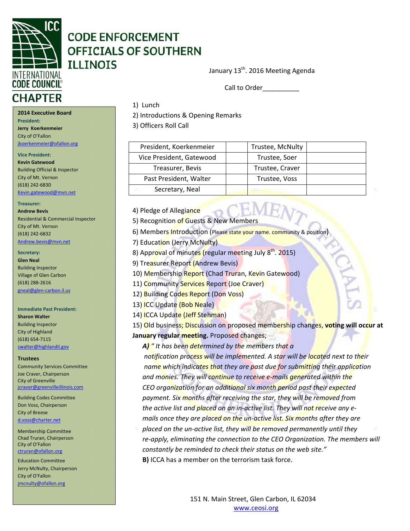

January 13<sup>th</sup>. 2016 Meeting Agenda

Call to Order\_\_\_\_\_\_\_\_\_\_

# **2014 Executive Board**

**President:**

2) Introductions & Opening Remarks

3) Officers Roll Call

1) Lunch

| President, Koerkenmeier  | Trustee, McNulty |  |
|--------------------------|------------------|--|
| Vice President, Gatewood | Trustee, Soer    |  |
| Treasurer, Bevis         | Trustee, Craver  |  |
| Past President, Walter   | Trustee, Voss    |  |
| Secretary, Neal          |                  |  |

4) Pledge of Allegiance

5) Recognition of Guests & New Members

6) Members Introduction (Please state your name. community & position)

7) Education (Jerry McNulty)

8) Approval of minutes (regular meeting July 8<sup>th</sup>. 2015)

9) Treasurer Report (Andrew Bevis)

10) Membership Report (Chad Truran, Kevin Gatewood)

11) Community Services Report (Joe Craver)

12) Building Codes Report (Don Voss)

13) ICC Update (Bob Neale)

14) ICCA Update (Jeff Stehman)

15) Old business; Discussion on proposed membership changes, **voting will occur at January regular meeting.** Proposed changes;

 *A) " It has been determined by the members that a* 

 *notification process will be implemented. A star will be located next to their name which indicates that they are past due for submitting their application and monies. They will continue to receive e‐mails generated within the CEO organization for an additional six month period past their expected payment. Six months after receiving the star, they will be removed from the active list and placed on an in‐active list. They will not receive any e‐ mails once they are placed on the un‐active list. Six months after they are*

 *placed on the un‐active list, they will be removed permanently until they re‐apply, eliminating the connection to the CEO Organization. The members will constantly be reminded to check their status on the web site."*  **B)** ICCA has a member on the terrorism task force.

> 151 N. Main Street, Glen Carbon, IL 62034 www.ceosi.org

**Jerry Koerkenmeier** City of O'Fallon jkoerkenmeier@ofallon.org

**Vice President: Kevin Gatewood** Building Official & Inspector City of Mt. Vernon (618) 242‐6830 Kevin.gatewood@mvn.net

#### **Treasurer:**

**Andrew Bevis** Residential & Commercial Inspector City of Mt. Vernon (618) 242‐6832 Andrew.bevis@mvn.net

### **Secretary:**

**Glen Neal** Building Inspector

Village of Glen Carbon (618) 288‐2616 gneal@glen‐carbon.il.us

### **Immediate Past President:**

**Sharon Walter** Building Inspector City of Highland (618) 654‐7115 swalter@highlandil.gov

#### **Trustees**

Community Services Committee Joe Craver, Chairperson City of Greenville jcraver@greenvilleillinois.com

Building Codes Committee Don Voss, Chairperson City of Breese d.voss@charter.net

Membership Committee Chad Truran, Chairperson City of O'Fallon ctruran@ofallon.org

 jmcnulty@ofallon.org Education Committee Jerry McNulty, Chairperson City of O'Fallon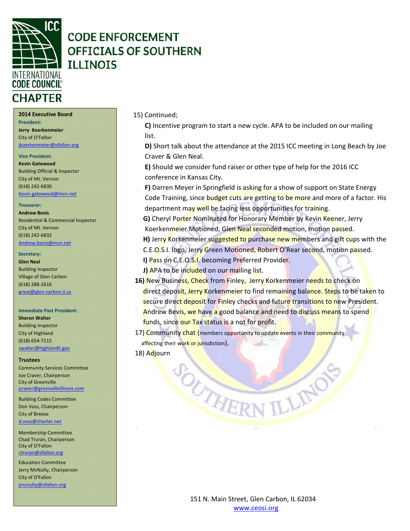

#### **2014 Executive Board**

**President: Jerry Koerkenmeier** City of O'Fallon jkoerkenmeier@ofallon.org

#### **Vice President:**

**Kevin Gatewood** Building Official & Inspector City of Mt. Vernon (618) 242‐6830 Kevin.gatewood@mvn.net

#### **Treasurer:**

**Andrew Bevis** Residential & Commercial Inspector City of Mt. Vernon (618) 242‐6832

#### Andrew.bevis@mvn.net

**Secretary: Glen Neal** Building Inspector Village of Glen Carbon (618) 288‐2616

#### gneal@glen‐carbon.il.us

**Immediate Past President:**

#### **Sharon Walter** Building Inspector City of Highland (618) 654‐7115 swalter@highlandil.gov

#### **Trustees**

Community Services Committee Joe Craver, Chairperson City of Greenville jcraver@greenvilleillinois.com

Building Codes Committee Don Voss, Chairperson City of Breese d.voss@charter.net

Membership Committee Chad Truran, Chairperson City of O'Fallon ctruran@ofallon.org

 jmcnulty@ofallon.org Education Committee Jerry McNulty, Chairperson City of O'Fallon

15) Continued;

 **C)** Incentive program to start a new cycle. APA to be included on our mailing list.

 **D)** Short talk about the attendance at the 2015 ICC meeting in Long Beach by Joe Craver & Glen Neal.

 **E)** Should we consider fund raiser or other type of help for the 2016 ICC conference in Kansas City.

**F)** Darren Meyer in Springfield is asking for a show of support on State Energy Code Training, since budget cuts are getting to be more and more of a factor. His department may well be facing less opportunities for training.

**G)** Cheryl Porter Nominated for Honorary Member by Kevin Keener, Jerry Koerkenmeier Motioned, Glen Neal seconded motion, motion passed.

**H)** Jerry Korkenmeier suggested to purchase new members and gift cups with the C.E.O.S.I. logo, Jerry Green Motioned, Robert O'Rear second, motion passed.

- **I)** Pass on C.E.O.S.I. becoming Preferred Provider.
- **J)** APA to be included on our mailing list.

SOUTHER

- 16) New Business, Check from Finley, Jerry Korkenmeier needs to check on direct deposit, Jerry Korkenmeier to find remaining balance. Steps to be taken to secure direct deposit for Finley checks and future transitions to new President.
- Andrew Bevis, we have a good balance and need to discuss means to spend funds, since our Tax status is a not for profit.

17) Community chat (members opportunity to update events in their community affecting their work or jurisdiction).

18) Adjourn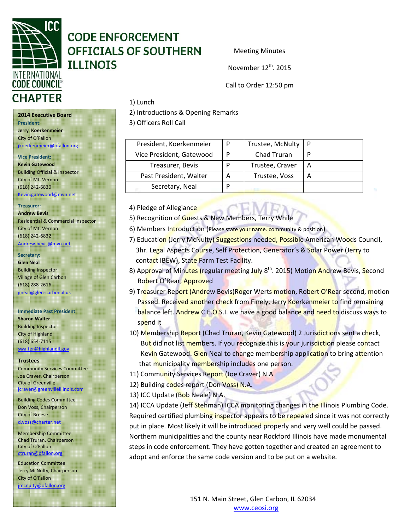

Meeting Minutes

November 12<sup>th</sup>, 2015

Call to Order 12:50 pm

# **CHAPTER**

**2014 Executive Board President:**

**Jerry Koerkenmeier** City of O'Fallon

jkoerkenmeier@ofallon.org

**Vice President:**

**Kevin Gatewood** Building Official & Inspector City of Mt. Vernon (618) 242‐6830 Kevin.gatewood@mvn.net

**Treasurer:**

**Andrew Bevis** Residential & Commercial Inspector City of Mt. Vernon (618) 242‐6832

Andrew.bevis@mvn.net

Secretary:

**Glen Neal** Building Inspector Village of Glen Carbon (618) 288‐2616 gneal@glen‐carbon.il.us

**Immediate Past President: Sharon Walter** Building Inspector City of Highland (618) 654‐7115 swalter@highlandil.gov

#### **Trustees**

Community Services Committee Joe Craver, Chairperson City of Greenville jcraver@greenvilleillinois.com

Building Codes Committee Don Voss, Chairperson City of Breese d.voss@charter.net

Membership Committee Chad Truran, Chairperson City of O'Fallon ctruran@ofallon.org

Education Committee Jerry McNulty, Chairperson City of O'Fallon jmcnulty@ofallon.org

#### 1) Lunch

2) Introductions & Opening Remarks

3) Officers Roll Call

| President, Koerkenmeier  | Trustee, McNulty |   |
|--------------------------|------------------|---|
| Vice President, Gatewood | Chad Truran      |   |
| Treasurer, Bevis         | Trustee, Craver  | А |
| Past President, Walter   | Trustee, Voss    |   |
| Secretary, Neal          |                  |   |

4) Pledge of Allegiance

- 5) Recognition of Guests & New Members, Terry While
- 6) Members Introduction (Please state your name. community & position)
- 7) Education (Jerry McNulty) Suggestions needed, Possible American Woods Council, 3hr. Legal Aspects Course, Self Protection, Generator's & Solar Power (Jerry to contact IBEW), State Farm Test Facility.
- 8) Approval of Minutes (regular meeting July 8<sup>th</sup>. 2015) Motion Andrew Bevis, Second Robert O'Rear, Approved
- 9) Treasurer Report (Andrew Bevis) Roger Werts motion, Robert O'Rear second, motion Passed. Received another check from Finely, Jerry Koerkenmeier to find remaining balance left. Andrew C.E.O.S.I. we have a good balance and need to discuss ways to spend it
- 10) Membership Report (Chad Truran, Kevin Gatewood) 2 Jurisdictions sent a check, But did not list members. If you recognize this is your jurisdiction please contact Kevin Gatewood. Glen Neal to change membership application to bring attention that municipality membership includes one person.
- 11) Community Services Report (Joe Craver) N.A
- 12) Building codes report (Don Voss) N.A.
- 13) ICC Update (Bob Neale) N.A.

14) ICCA Update (Jeff Stehman) ICCA monitoring changes in the Illinois Plumbing Code. Required certified plumbing inspector appears to be repealed since it was not correctly put in place. Most likely it will be introduced properly and very well could be passed. Northern municipalities and the county near Rockford Illinois have made monumental steps in code enforcement. They have gotten together and created an agreement to adopt and enforce the same code version and to be put on a website.

> 151 N. Main Street, Glen Carbon, IL 62034 www.ceosi.org